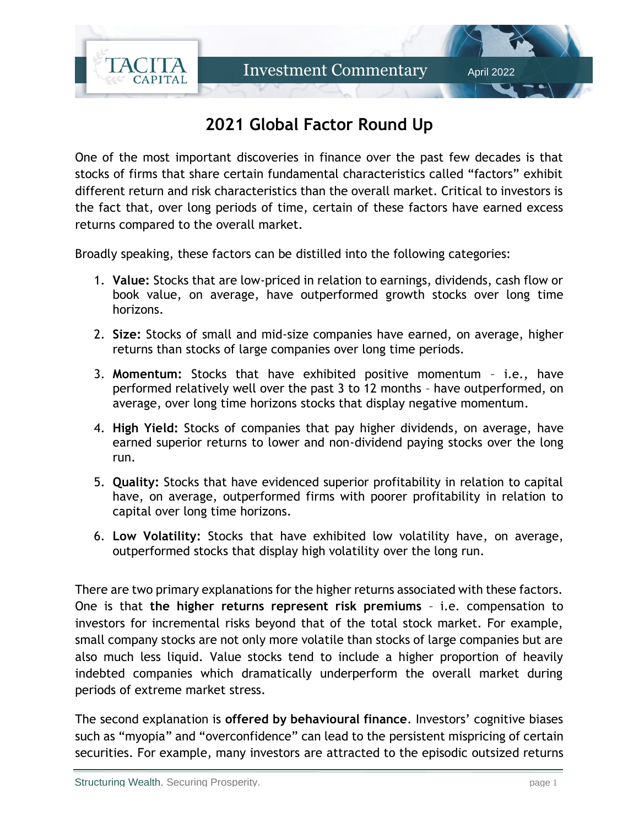

## **2021 Global Factor Round Up**

One of the most important discoveries in finance over the past few decades is that stocks of firms that share certain fundamental characteristics called "factors" exhibit different return and risk characteristics than the overall market. Critical to investors is the fact that, over long periods of time, certain of these factors have earned excess returns compared to the overall market.

Broadly speaking, these factors can be distilled into the following categories:

- 1. **Value:** Stocks that are low-priced in relation to earnings, dividends, cash flow or book value, on average, have outperformed growth stocks over long time horizons.
- 2. **Size:** Stocks of small and mid-size companies have earned, on average, higher returns than stocks of large companies over long time periods.
- 3. **Momentum:** Stocks that have exhibited positive momentum i.e., have performed relatively well over the past 3 to 12 months – have outperformed, on average, over long time horizons stocks that display negative momentum.
- 4. **High Yield:** Stocks of companies that pay higher dividends, on average, have earned superior returns to lower and non-dividend paying stocks over the long run.
- 5. **Quality:** Stocks that have evidenced superior profitability in relation to capital have, on average, outperformed firms with poorer profitability in relation to capital over long time horizons.
- 6. **Low Volatility:** Stocks that have exhibited low volatility have, on average, outperformed stocks that display high volatility over the long run.

There are two primary explanations for the higher returns associated with these factors. One is that **the higher returns represent risk premiums** – i.e. compensation to investors for incremental risks beyond that of the total stock market. For example, small company stocks are not only more volatile than stocks of large companies but are also much less liquid. Value stocks tend to include a higher proportion of heavily indebted companies which dramatically underperform the overall market during periods of extreme market stress.

The second explanation is **offered by behavioural finance**. Investors' cognitive biases such as "myopia" and "overconfidence" can lead to the persistent mispricing of certain securities. For example, many investors are attracted to the episodic outsized returns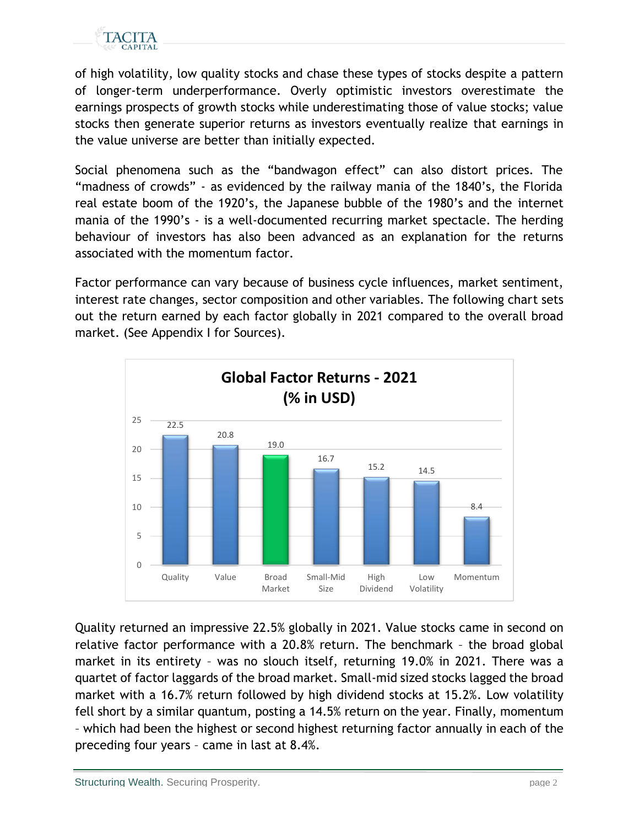

of high volatility, low quality stocks and chase these types of stocks despite a pattern of longer-term underperformance. Overly optimistic investors overestimate the earnings prospects of growth stocks while underestimating those of value stocks; value stocks then generate superior returns as investors eventually realize that earnings in the value universe are better than initially expected.

Social phenomena such as the "bandwagon effect" can also distort prices. The "madness of crowds" - as evidenced by the railway mania of the 1840's, the Florida real estate boom of the 1920's, the Japanese bubble of the 1980's and the internet mania of the 1990's - is a well-documented recurring market spectacle. The herding behaviour of investors has also been advanced as an explanation for the returns associated with the momentum factor.

Factor performance can vary because of business cycle influences, market sentiment, interest rate changes, sector composition and other variables. The following chart sets out the return earned by each factor globally in 2021 compared to the overall broad market. (See Appendix I for Sources).



Quality returned an impressive 22.5% globally in 2021. Value stocks came in second on relative factor performance with a 20.8% return. The benchmark – the broad global market in its entirety – was no slouch itself, returning 19.0% in 2021. There was a quartet of factor laggards of the broad market. Small-mid sized stocks lagged the broad market with a 16.7% return followed by high dividend stocks at 15.2%. Low volatility fell short by a similar quantum, posting a 14.5% return on the year. Finally, momentum – which had been the highest or second highest returning factor annually in each of the preceding four years – came in last at 8.4%.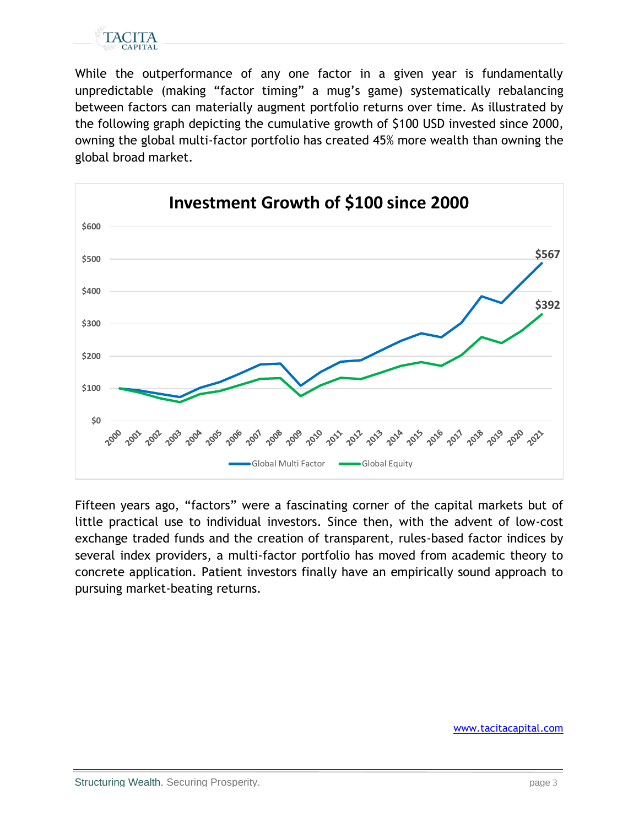

While the outperformance of any one factor in a given year is fundamentally unpredictable (making "factor timing" a mug's game) systematically rebalancing between factors can materially augment portfolio returns over time. As illustrated by the following graph depicting the cumulative growth of \$100 USD invested since 2000, owning the global multi-factor portfolio has created 45% more wealth than owning the global broad market.



Fifteen years ago, "factors" were a fascinating corner of the capital markets but of little practical use to individual investors. Since then, with the advent of low-cost exchange traded funds and the creation of transparent, rules-based factor indices by several index providers, a multi-factor portfolio has moved from academic theory to concrete application. Patient investors finally have an empirically sound approach to pursuing market-beating returns.